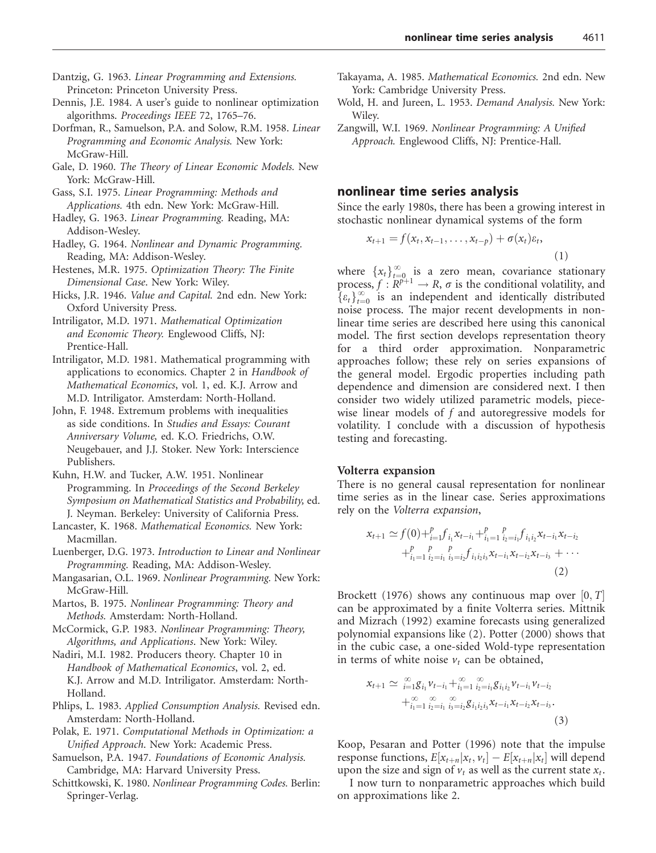- Dantzig, G. 1963. Linear Programming and Extensions. Princeton: Princeton University Press.
- Dennis, J.E. 1984. A user's guide to nonlinear optimization algorithms. Proceedings IEEE 72, 1765–76.
- Dorfman, R., Samuelson, P.A. and Solow, R.M. 1958. Linear Programming and Economic Analysis. New York: McGraw-Hill.
- Gale, D. 1960. The Theory of Linear Economic Models. New York: McGraw-Hill.
- Gass, S.I. 1975. Linear Programming: Methods and Applications. 4th edn. New York: McGraw-Hill.
- Hadley, G. 1963. Linear Programming. Reading, MA: Addison-Wesley.
- Hadley, G. 1964. Nonlinear and Dynamic Programming. Reading, MA: Addison-Wesley.
- Hestenes, M.R. 1975. Optimization Theory: The Finite Dimensional Case. New York: Wiley.
- Hicks, J.R. 1946. Value and Capital. 2nd edn. New York: Oxford University Press.
- Intriligator, M.D. 1971. Mathematical Optimization and Economic Theory. Englewood Cliffs, NJ: Prentice-Hall.
- Intriligator, M.D. 1981. Mathematical programming with applications to economics. Chapter 2 in Handbook of Mathematical Economics, vol. 1, ed. K.J. Arrow and M.D. Intriligator. Amsterdam: North-Holland.
- John, F. 1948. Extremum problems with inequalities as side conditions. In Studies and Essays: Courant Anniversary Volume, ed. K.O. Friedrichs, O.W. Neugebauer, and J.J. Stoker. New York: Interscience Publishers.
- Kuhn, H.W. and Tucker, A.W. 1951. Nonlinear Programming. In Proceedings of the Second Berkeley Symposium on Mathematical Statistics and Probability, ed. J. Neyman. Berkeley: University of California Press.
- Lancaster, K. 1968. Mathematical Economics. New York: Macmillan.
- Luenberger, D.G. 1973. Introduction to Linear and Nonlinear Programming. Reading, MA: Addison-Wesley.
- Mangasarian, O.L. 1969. Nonlinear Programming. New York: McGraw-Hill.
- Martos, B. 1975. Nonlinear Programming: Theory and Methods. Amsterdam: North-Holland.
- McCormick, G.P. 1983. Nonlinear Programming: Theory, Algorithms, and Applications. New York: Wiley.
- Nadiri, M.I. 1982. Producers theory. Chapter 10 in Handbook of Mathematical Economics, vol. 2, ed. K.J. Arrow and M.D. Intriligator. Amsterdam: North-Holland.
- Phlips, L. 1983. Applied Consumption Analysis. Revised edn. Amsterdam: North-Holland.
- Polak, E. 1971. Computational Methods in Optimization: a Unified Approach. New York: Academic Press.
- Samuelson, P.A. 1947. Foundations of Economic Analysis. Cambridge, MA: Harvard University Press.
- Schittkowski, K. 1980. Nonlinear Programming Codes. Berlin: Springer-Verlag.
- Takayama, A. 1985. Mathematical Economics. 2nd edn. New York: Cambridge University Press.
- Wold, H. and Jureen, L. 1953. Demand Analysis. New York: Wiley.
- Zangwill, W.I. 1969. Nonlinear Programming: A Unified Approach. Englewood Cliffs, NJ: Prentice-Hall.

# nonlinear time series analysis

Since the early 1980s, there has been a growing interest in stochastic nonlinear dynamical systems of the form

$$
x_{t+1} = f(x_t, x_{t-1}, \dots, x_{t-p}) + \sigma(x_t) \varepsilon_t,
$$
\n(1)

where  $\{x_t\}_{t=0}^{\infty}$  is a zero mean, covariance stationary process,  $f: \mathbb{R}^{p+1} \to \mathbb{R}$ ,  $\sigma$  is the conditional volatility, and  $\{\varepsilon_t\}_{t=0}^{\infty}$  is an independent and identically distributed noise process. The major recent developments in nonlinear time series are described here using this canonical model. The first section develops representation theory for a third order approximation. Nonparametric approaches follow; these rely on series expansions of the general model. Ergodic properties including path dependence and dimension are considered next. I then consider two widely utilized parametric models, piecewise linear models of  $f$  and autoregressive models for volatility. I conclude with a discussion of hypothesis testing and forecasting.

# Volterra expansion

There is no general causal representation for nonlinear time series as in the linear case. Series approximations rely on the Volterra expansion,

$$
x_{t+1} \simeq f(0) +_{i=1}^p f_{i_1} x_{t-i_1} +_{i_1=1}^p \sum_{i_2=i_1}^p f_{i_1 i_2} x_{t-i_1} x_{t-i_2}
$$
  
 
$$
+_{i_1=1}^p \sum_{i_2=i_1}^p f_{i_2 i_2} x_{i_1 i_2 i_3} x_{t-i_1} x_{t-i_2} x_{t-i_3} + \cdots
$$
  
(2)

Brockett (1976) shows any continuous map over  $[0, T]$ can be approximated by a finite Volterra series. Mittnik and Mizrach (1992) examine forecasts using generalized polynomial expansions like (2). Potter (2000) shows that in the cubic case, a one-sided Wold-type representation in terms of white noise  $v_t$  can be obtained,

$$
x_{t+1} \simeq \sum_{i=1}^{\infty} g_{i_1} v_{t-i_1} + \sum_{i_1=1}^{\infty} \sum_{i_2=i_1}^{\infty} g_{i_1 i_2} v_{t-i_1} v_{t-i_2}
$$
  
 
$$
+ \sum_{i_1=1}^{\infty} \sum_{i_2=i_1}^{\infty} \sum_{i_3=i_2}^{\infty} g_{i_1 i_2 i_3} x_{t-i_1} x_{t-i_2} x_{t-i_3}.
$$
  
(3)

Koop, Pesaran and Potter (1996) note that the impulse response functions,  $E[x_{t+n}|x_t, v_t] - E[x_{t+n}|x_t]$  will depend upon the size and sign of  $v_t$  as well as the current state  $x_t$ .

I now turn to nonparametric approaches which build on approximations like 2.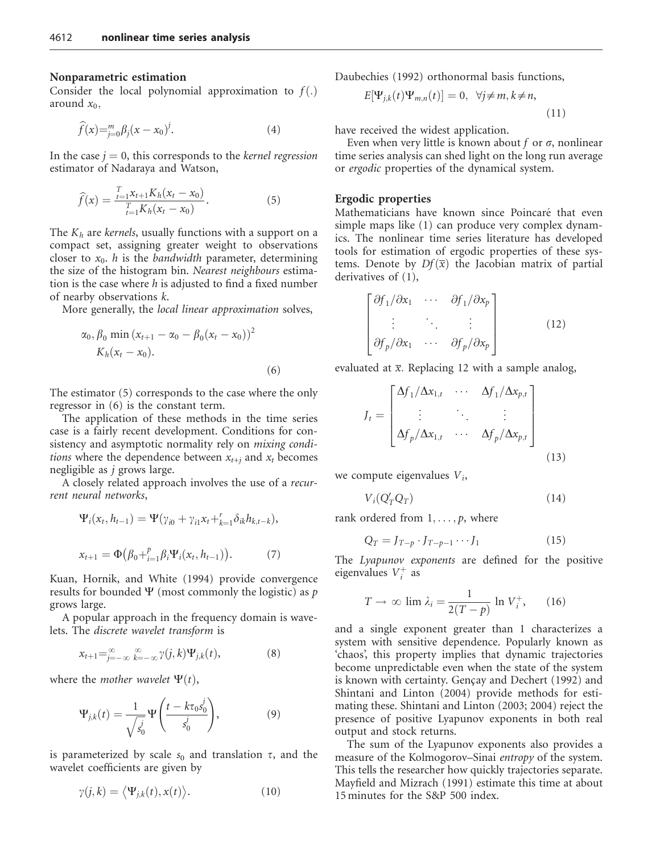## Nonparametric estimation

Consider the local polynomial approximation to  $f(.)$ around  $x_0$ ,

$$
\widehat{f}(x) = \sum_{j=0}^{m} \beta_j (x - x_0)^j.
$$
 (4)

In the case  $j = 0$ , this corresponds to the *kernel regression* estimator of Nadaraya and Watson,

$$
\widehat{f}(x) = \frac{\prod_{t=1}^{T} x_{t+1} K_h (x_t - x_0)}{\prod_{t=1}^{T} K_h (x_t - x_0)}.
$$
\n(5)

The  $K_h$  are kernels, usually functions with a support on a compact set, assigning greater weight to observations closer to  $x_0$ . *h* is the *bandwidth* parameter, determining the size of the histogram bin. Nearest neighbours estimation is the case where  $h$  is adjusted to find a fixed number of nearby observations k.

More generally, the local linear approximation solves,

$$
\alpha_0, \beta_0 \min(x_{t+1} - \alpha_0 - \beta_0(x_t - x_0))^2
$$
  
\n
$$
K_h(x_t - x_0).
$$
\n(6)

The estimator (5) corresponds to the case where the only regressor in (6) is the constant term.

The application of these methods in the time series case is a fairly recent development. Conditions for consistency and asymptotic normality rely on *mixing conditions* where the dependence between  $x_{t+i}$  and  $x_t$  becomes negligible as j grows large.

A closely related approach involves the use of a recurrent neural networks,

$$
\Psi_i(x_t, h_{t-1}) = \Psi(\gamma_{i0} + \gamma_{i1}x_t + \zeta_{i=1}\delta_{ik}h_{k,t-k}),
$$
  

$$
x_{t+1} = \Phi(\beta_0 + \zeta_{i=1}\beta_i\Psi_i(x_t, h_{t-1})).
$$
 (7)

Kuan, Hornik, and White (1994) provide convergence results for bounded  $\Psi$  (most commonly the logistic) as p grows large.

A popular approach in the frequency domain is wavelets. The discrete wavelet transform is

$$
x_{t+1} = \sum_{j=-\infty}^{\infty} \sum_{k=-\infty}^{\infty} \gamma(j,k) \Psi_{j,k}(t), \tag{8}
$$

where the *mother* wavelet  $\Psi(t)$ ,

$$
\Psi_{j,k}(t) = \frac{1}{\sqrt{s_0^j}} \Psi\left(\frac{t - k\tau_0 s_0^j}{s_0^j}\right),\tag{9}
$$

is parameterized by scale  $s_0$  and translation  $\tau$ , and the wavelet coefficients are given by

$$
\gamma(j,k) = \langle \Psi_{j,k}(t), x(t) \rangle.
$$
 (10)

Daubechies (1992) orthonormal basis functions,

$$
E[\Psi_{j,k}(t)\Psi_{m,n}(t)] = 0, \quad \forall j \neq m, k \neq n,
$$
\n(11)

have received the widest application.

Even when very little is known about f or  $\sigma$ , nonlinear time series analysis can shed light on the long run average or ergodic properties of the dynamical system.

### Ergodic properties

Mathematicians have known since Poincaré that even simple maps like (1) can produce very complex dynamics. The nonlinear time series literature has developed tools for estimation of ergodic properties of these systems. Denote by  $Df(\overline{x})$  the Jacobian matrix of partial derivatives of (1),

$$
\begin{bmatrix}\n\frac{\partial f_1}{\partial x_1} & \cdots & \frac{\partial f_1}{\partial x_p} \\
\vdots & \ddots & \vdots \\
\frac{\partial f_p}{\partial x_1} & \cdots & \frac{\partial f_p}{\partial x_p}\n\end{bmatrix}
$$
\n(12)

evaluated at  $\bar{x}$ . Replacing 12 with a sample analog,

$$
J_t = \begin{bmatrix} \Delta f_1 / \Delta x_{1,t} & \cdots & \Delta f_1 / \Delta x_{p,t} \\ \vdots & \ddots & \vdots \\ \Delta f_p / \Delta x_{1,t} & \cdots & \Delta f_p / \Delta x_{p,t} \end{bmatrix}
$$
(13)

we compute eigenvalues  $V_i$ ,

$$
V_i(Q'_T Q_T) \tag{14}
$$

rank ordered from  $1, \ldots, p$ , where

$$
Q_T = J_{T-p} \cdot J_{T-p-1} \cdots J_1 \tag{15}
$$

The Lyapunov exponents are defined for the positive eigenvalues  $V_i^+$  as

$$
T \to \infty \lim \lambda_i = \frac{1}{2(T - p)} \ln V_i^+, \qquad (16)
$$

and a single exponent greater than 1 characterizes a system with sensitive dependence. Popularly known as 'chaos', this property implies that dynamic trajectories become unpredictable even when the state of the system is known with certainty. Gençay and Dechert (1992) and Shintani and Linton (2004) provide methods for estimating these. Shintani and Linton (2003; 2004) reject the presence of positive Lyapunov exponents in both real output and stock returns.

The sum of the Lyapunov exponents also provides a measure of the Kolmogorov–Sinai entropy of the system. This tells the researcher how quickly trajectories separate. Mayfield and Mizrach (1991) estimate this time at about 15 minutes for the S&P 500 index.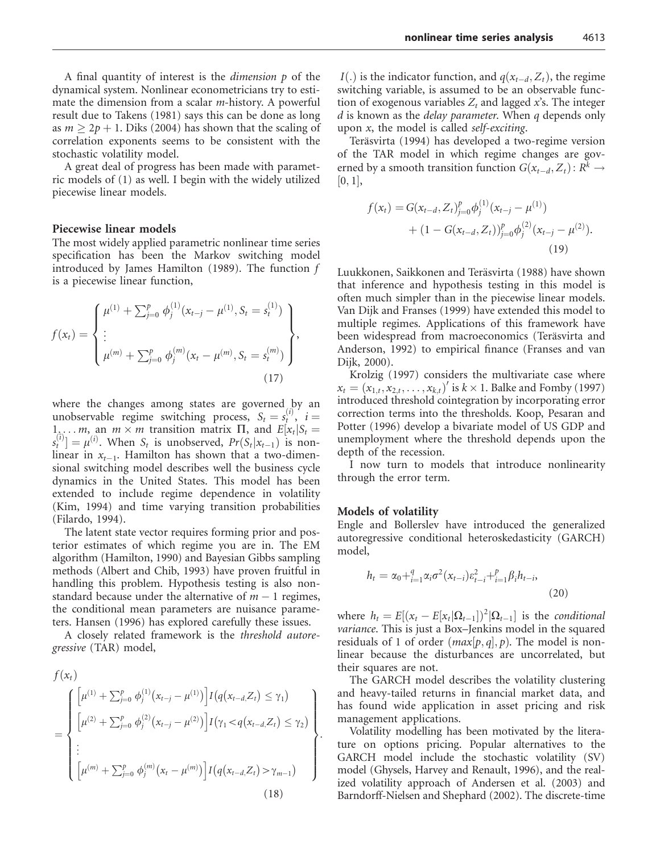A final quantity of interest is the dimension p of the dynamical system. Nonlinear econometricians try to estimate the dimension from a scalar m-history. A powerful result due to Takens (1981) says this can be done as long as  $m \geq 2p + 1$ . Diks (2004) has shown that the scaling of correlation exponents seems to be consistent with the stochastic volatility model.

A great deal of progress has been made with parametric models of (1) as well. I begin with the widely utilized piecewise linear models.

#### Piecewise linear models

The most widely applied parametric nonlinear time series specification has been the Markov switching model introduced by James Hamilton (1989). The function  $f$ is a piecewise linear function,

$$
f(x_t) = \begin{cases} \mu^{(1)} + \sum_{j=0}^{p} \phi_j^{(1)}(x_{t-j} - \mu^{(1)}, S_t = s_t^{(1)}) \\ \vdots \\ \mu^{(m)} + \sum_{j=0}^{p} \phi_j^{(m)}(x_t - \mu^{(m)}, S_t = s_t^{(m)}) \end{cases},
$$
\n(17)

where the changes among states are governed by an unobservable regime switching process,  $S_t = s_t^{(i)}$ ,  $i =$  $1_{\lambda}$ ... *m*, an *m* × *m* transition matrix  $\Pi$ , and  $E[x_t|S_t =$  $s_t^{(i)} = \mu^{(i)}$ . When  $S_t$  is unobserved,  $Pr(S_t | x_{t-1})$  is nonlinear in  $x_{t-1}$ . Hamilton has shown that a two-dimensional switching model describes well the business cycle dynamics in the United States. This model has been extended to include regime dependence in volatility (Kim, 1994) and time varying transition probabilities (Filardo, 1994).

The latent state vector requires forming prior and posterior estimates of which regime you are in. The EM algorithm (Hamilton, 1990) and Bayesian Gibbs sampling methods (Albert and Chib, 1993) have proven fruitful in handling this problem. Hypothesis testing is also nonstandard because under the alternative of  $m - 1$  regimes, the conditional mean parameters are nuisance parameters. Hansen (1996) has explored carefully these issues.

A closely related framework is the threshold autoregressive (TAR) model,

$$
f(x_t)
$$
\n
$$
= \begin{cases}\n\left[\mu^{(1)} + \sum_{j=0}^p \phi_j^{(1)}(x_{t-j} - \mu^{(1)})\right] I(q(x_{t-d}, Z_t) \leq \gamma_1) \\
\left[\mu^{(2)} + \sum_{j=0}^p \phi_j^{(2)}(x_{t-j} - \mu^{(2)})\right] I(\gamma_1 < q(x_{t-d}, Z_t) \leq \gamma_2) \\
\vdots \\
\left[\mu^{(m)} + \sum_{j=0}^p \phi_j^{(m)}(x_t - \mu^{(m)})\right] I(q(x_{t-d}, Z_t) > \gamma_{m-1})\n\end{cases}.
$$
\n(18)

 $I(.)$  is the indicator function, and  $q(x_{t-d}, Z_t)$ , the regime switching variable, is assumed to be an observable function of exogenous variables  $Z_t$  and lagged  $x$ 's. The integer  $d$  is known as the *delay parameter*. When  $q$  depends only upon  $x$ , the model is called self-exciting.

Teräsvirta (1994) has developed a two-regime version of the TAR model in which regime changes are governed by a smooth transition function  $G(x_{t-d}, Z_t): R^k \to$  $|0, 1|$ ,

$$
f(x_t) = G(x_{t-d}, Z_t)_{j=0}^p \phi_j^{(1)}(x_{t-j} - \mu^{(1)}) + (1 - G(x_{t-d}, Z_t))_{j=0}^p \phi_j^{(2)}(x_{t-j} - \mu^{(2)}).
$$
\n(19)

Luukkonen, Saikkonen and Teräsvirta (1988) have shown that inference and hypothesis testing in this model is often much simpler than in the piecewise linear models. Van Dijk and Franses (1999) have extended this model to multiple regimes. Applications of this framework have been widespread from macroeconomics (Teräsvirta and Anderson, 1992) to empirical finance (Franses and van Dijk, 2000).

Krolzig (1997) considers the multivariate case where  $x_t = (x_{1,t}, x_{2,t}, \ldots, x_{k,t})'$  is  $k \times 1$ . Balke and Fomby (1997) introduced threshold cointegration by incorporating error correction terms into the thresholds. Koop, Pesaran and Potter (1996) develop a bivariate model of US GDP and unemployment where the threshold depends upon the depth of the recession.

I now turn to models that introduce nonlinearity through the error term.

#### Models of volatility

Engle and Bollerslev have introduced the generalized autoregressive conditional heteroskedasticity (GARCH) model,

$$
h_{t} = \alpha_{0} + \sum_{i=1}^{q} \alpha_{i} \sigma^{2} (x_{t-i}) \varepsilon_{t-i}^{2} + \sum_{i=1}^{p} \beta_{i} h_{t-i},
$$
\n(20)

where  $h_t = E[(x_t - E[x_t | \Omega_{t-1}])^2 | \Omega_{t-1}]$  is the conditional variance. This is just a Box–Jenkins model in the squared residuals of 1 of order  $(max[p, q], p)$ . The model is nonlinear because the disturbances are uncorrelated, but their squares are not.

The GARCH model describes the volatility clustering and heavy-tailed returns in financial market data, and has found wide application in asset pricing and risk management applications.

Volatility modelling has been motivated by the literature on options pricing. Popular alternatives to the GARCH model include the stochastic volatility (SV) model (Ghysels, Harvey and Renault, 1996), and the realized volatility approach of Andersen et al. (2003) and Barndorff-Nielsen and Shephard (2002). The discrete-time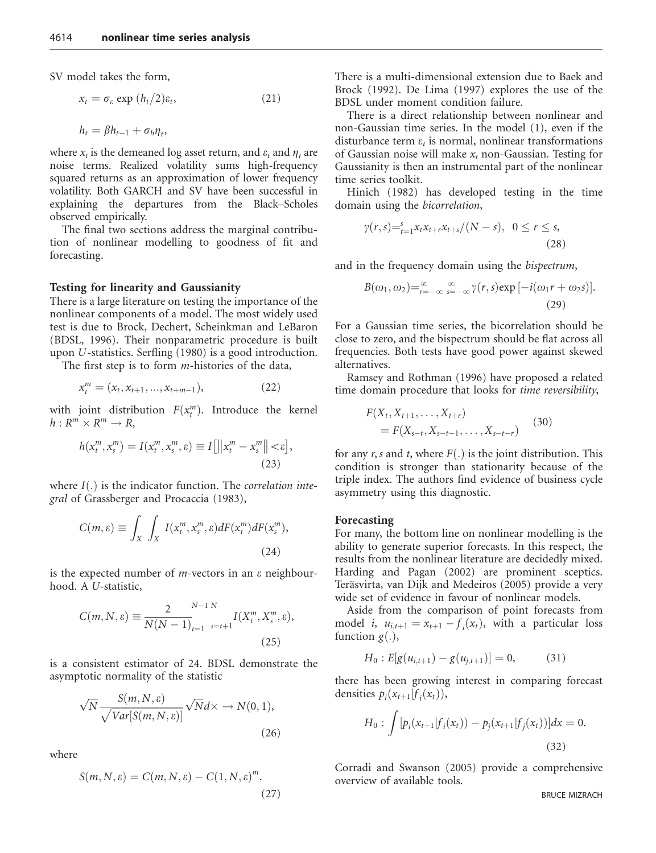SV model takes the form,

$$
x_t = \sigma_\varepsilon \exp\left(\frac{h_t}{2}\right)\varepsilon_t,\tag{21}
$$

$$
h_t = \beta h_{t-1} + \sigma_h \eta_t,
$$

where  $x_t$  is the demeaned log asset return, and  $\varepsilon_t$  and  $\eta_t$  are noise terms. Realized volatility sums high-frequency squared returns as an approximation of lower frequency volatility. Both GARCH and SV have been successful in explaining the departures from the Black–Scholes observed empirically.

The final two sections address the marginal contribution of nonlinear modelling to goodness of fit and forecasting.

#### Testing for linearity and Gaussianity

There is a large literature on testing the importance of the nonlinear components of a model. The most widely used test is due to Brock, Dechert, Scheinkman and LeBaron (BDSL, 1996). Their nonparametric procedure is built upon U-statistics. Serfling (1980) is a good introduction.

The first step is to form  $m$ -histories of the data,

$$
x_t^m = (x_t, x_{t+1}, ..., x_{t+m-1}),
$$
\n(22)

with joint distribution  $F(x_t^m)$ . Introduce the kernel  $h: R^m \times R^m \rightarrow R$ ,

$$
h(x_t^m, x_s^m) = I(x_t^m, x_s^m, \varepsilon) \equiv I[||x_t^m - x_s^m|| < \varepsilon],
$$
\n(23)

where  $I(.)$  is the indicator function. The *correlation inte*gral of Grassberger and Procaccia (1983),

$$
C(m,\varepsilon) \equiv \int_X \int_X I(x_t^m, x_s^m, \varepsilon) dF(x_t^m) dF(x_s^m),
$$
\n(24)

is the expected number of *m*-vectors in an  $\varepsilon$  neighbourhood. A U-statistic,

$$
C(m, N, \varepsilon) \equiv \frac{2}{N(N-1)} \sum_{t=1}^{N-1} \sum_{s=t+1}^{N} I(X_t^m, X_s^m, \varepsilon),
$$
\n(25)

is a consistent estimator of 24. BDSL demonstrate the asymptotic normality of the statistic

$$
\sqrt{N} \frac{S(m, N, \varepsilon)}{\sqrt{Var[S(m, N, \varepsilon)]}} \sqrt{N} d \times \to N(0, 1),
$$
\n(26)

where

$$
S(m, N, \varepsilon) = C(m, N, \varepsilon) - C(1, N, \varepsilon)^m.
$$
\n(27)

There is a multi-dimensional extension due to Baek and Brock (1992). De Lima (1997) explores the use of the BDSL under moment condition failure.

There is a direct relationship between nonlinear and non-Gaussian time series. In the model (1), even if the disturbance term  $\varepsilon_t$  is normal, nonlinear transformations of Gaussian noise will make  $x_t$  non-Gaussian. Testing for Gaussianity is then an instrumental part of the nonlinear time series toolkit.

Hinich (1982) has developed testing in the time domain using the bicorrelation,

$$
\gamma(r,s) =_{t=1}^{s} x_t x_{t+r} x_{t+s} / (N-s), \quad 0 \le r \le s,
$$
\n(28)

and in the frequency domain using the bispectrum,

$$
B(\omega_1, \omega_2) =_{r=-\infty}^{\infty} \sum_{s=-\infty}^{\infty} \gamma(r, s) \exp\left[-i(\omega_1 r + \omega_2 s)\right].
$$
\n(29)

For a Gaussian time series, the bicorrelation should be close to zero, and the bispectrum should be flat across all frequencies. Both tests have good power against skewed alternatives.

Ramsey and Rothman (1996) have proposed a related time domain procedure that looks for time reversibility,

$$
F(X_t, X_{t+1}, \dots, X_{t+r})
$$
  
=  $F(X_{s-t}, X_{s-t-1}, \dots, X_{s-t-r})$  (30)

for any r, s and t, where  $F(.)$  is the joint distribution. This condition is stronger than stationarity because of the triple index. The authors find evidence of business cycle asymmetry using this diagnostic.

### Forecasting

For many, the bottom line on nonlinear modelling is the ability to generate superior forecasts. In this respect, the results from the nonlinear literature are decidedly mixed. Harding and Pagan (2002) are prominent sceptics. Teräsvirta, van Dijk and Medeiros (2005) provide a very wide set of evidence in favour of nonlinear models.

Aside from the comparison of point forecasts from model *i*,  $u_{i,t+1} = x_{t+1} - f_i(x_t)$ , with a particular loss function  $g(.)$ ,

$$
H_0: E[g(u_{i,t+1}) - g(u_{j,t+1})] = 0, \qquad (31)
$$

there has been growing interest in comparing forecast densities  $p_i(x_{t+1}|f_i(x_t)),$ 

$$
H_0: \int [p_i(x_{t+1}|f_i(x_t)) - p_j(x_{t+1}|f_j(x_t))]dx = 0.
$$
\n(32)

Corradi and Swanson (2005) provide a comprehensive overview of available tools.

BRUCE MIZRACH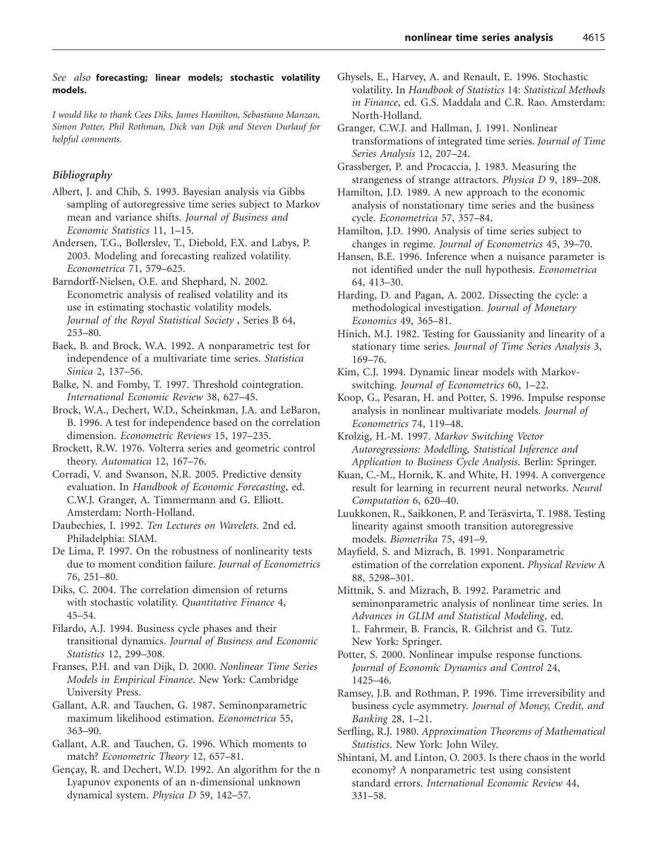## See also forecasting; linear models; stochastic volatility models.

I would like to thank Cees Diks, James Hamilton, Sebastiano Manzan, Simon Potter, Phil Rothman, Dick van Dijk and Steven Durlauf for helpful comments.

## Bibliography

- Albert, J. and Chib, S. 1993. Bayesian analysis via Gibbs sampling of autoregressive time series subject to Markov mean and variance shifts. Journal of Business and Economic Statistics 11, 1–15.
- Andersen, T.G., Bollerslev, T., Diebold, F.X. and Labys, P. 2003. Modeling and forecasting realized volatility. Econometrica 71, 579–625.
- Barndorff-Nielsen, O.E. and Shephard, N. 2002. Econometric analysis of realised volatility and its use in estimating stochastic volatility models. Journal of the Royal Statistical Society , Series B 64, 253–80.
- Baek, B. and Brock, W.A. 1992. A nonparametric test for independence of a multivariate time series. Statistica Sinica 2, 137–56.
- Balke, N. and Fomby, T. 1997. Threshold cointegration. International Economic Review 38, 627–45.
- Brock, W.A., Dechert, W.D., Scheinkman, J.A. and LeBaron, B. 1996. A test for independence based on the correlation dimension. Econometric Reviews 15, 197–235.
- Brockett, R.W. 1976. Volterra series and geometric control theory. Automatica 12, 167–76.
- Corradi, V. and Swanson, N.R. 2005. Predictive density evaluation. In Handbook of Economic Forecasting, ed. C.W.J. Granger, A. Timmermann and G. Elliott. Amsterdam: North-Holland.
- Daubechies, I. 1992. Ten Lectures on Wavelets. 2nd ed. Philadelphia: SIAM.
- De Lima, P. 1997. On the robustness of nonlinearity tests due to moment condition failure. Journal of Econometrics 76, 251–80.
- Diks, C. 2004. The correlation dimension of returns with stochastic volatility. Quantitative Finance 4, 45–54.
- Filardo, A.J. 1994. Business cycle phases and their transitional dynamics. Journal of Business and Economic Statistics 12, 299–308.
- Franses, P.H. and van Dijk, D. 2000. Nonlinear Time Series Models in Empirical Finance. New York: Cambridge University Press.
- Gallant, A.R. and Tauchen, G. 1987. Seminonparametric maximum likelihood estimation. Econometrica 55, 363–90.
- Gallant, A.R. and Tauchen, G. 1996. Which moments to match? Econometric Theory 12, 657–81.
- Gençay, R. and Dechert, W.D. 1992. An algorithm for the n Lyapunov exponents of an n-dimensional unknown dynamical system. Physica D 59, 142–57.
- Ghysels, E., Harvey, A. and Renault, E. 1996. Stochastic volatility. In Handbook of Statistics 14: Statistical Methods in Finance, ed. G.S. Maddala and C.R. Rao. Amsterdam: North-Holland.
- Granger, C.W.J. and Hallman, J. 1991. Nonlinear transformations of integrated time series. Journal of Time Series Analysis 12, 207–24.
- Grassberger, P. and Procaccia, J. 1983. Measuring the strangeness of strange attractors. Physica D 9, 189–208.
- Hamilton, J.D. 1989. A new approach to the economic analysis of nonstationary time series and the business cycle. Econometrica 57, 357–84.
- Hamilton, J.D. 1990. Analysis of time series subject to changes in regime. Journal of Econometrics 45, 39–70.
- Hansen, B.E. 1996. Inference when a nuisance parameter is not identified under the null hypothesis. Econometrica 64, 413–30.
- Harding, D. and Pagan, A. 2002. Dissecting the cycle: a methodological investigation. Journal of Monetary Economics 49, 365–81.
- Hinich, M.J. 1982. Testing for Gaussianity and linearity of a stationary time series. Journal of Time Series Analysis 3, 169–76.
- Kim, C.J. 1994. Dynamic linear models with Markovswitching. Journal of Econometrics 60, 1–22.
- Koop, G., Pesaran, H. and Potter, S. 1996. Impulse response analysis in nonlinear multivariate models. Journal of Econometrics 74, 119–48.
- Krolzig, H.-M. 1997. Markov Switching Vector Autoregressions: Modelling, Statistical Inference and Application to Business Cycle Analysis. Berlin: Springer.
- Kuan, C.-M., Hornik, K. and White, H. 1994. A convergence result for learning in recurrent neural networks. Neural Computation 6, 620–40.
- Luukkonen, R., Saikkonen, P. and Teräsvirta, T. 1988. Testing linearity against smooth transition autoregressive models. Biometrika 75, 491–9.
- Mayfield, S. and Mizrach, B. 1991. Nonparametric estimation of the correlation exponent. Physical Review A 88, 5298–301.
- Mittnik, S. and Mizrach, B. 1992. Parametric and seminonparametric analysis of nonlinear time series. In Advances in GLIM and Statistical Modeling, ed. L. Fahrmeir, B. Francis, R. Gilchrist and G. Tutz. New York: Springer.
- Potter, S. 2000. Nonlinear impulse response functions. Journal of Economic Dynamics and Control 24, 1425–46.
- Ramsey, J.B. and Rothman, P. 1996. Time irreversibility and business cycle asymmetry. Journal of Money, Credit, and Banking 28, 1–21.
- Serfling, R.J. 1980. Approximation Theorems of Mathematical Statistics. New York: John Wiley.
- Shintani, M. and Linton, O. 2003. Is there chaos in the world economy? A nonparametric test using consistent standard errors. International Economic Review 44, 331–58.